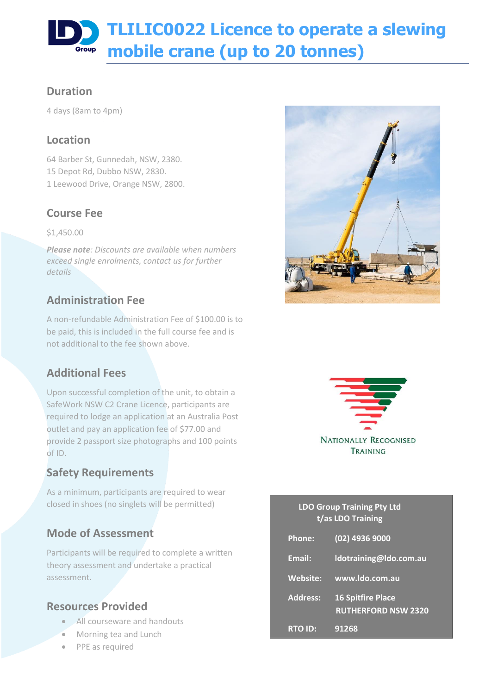# **TLILIC0022 Licence to operate a slewing mobile crane (up to 20 tonnes)** Group

### **Duration**

4 days (8am to 4pm)

### **Location**

64 Barber St, Gunnedah, NSW, 2380. 15 Depot Rd, Dubbo NSW, 2830. 1 Leewood Drive, Orange NSW, 2800.

## **Course Fee**

\$1,450.00

*Please note: Discounts are available when numbers exceed single enrolments, contact us for further details*

# **Administration Fee**

A non-refundable Administration Fee of \$100.00 is to be paid, this is included in the full course fee and is not additional to the fee shown above.

## **Additional Fees**

Upon successful completion of the unit, to obtain a SafeWork NSW C2 Crane Licence, participants are required to lodge an application at an Australia Post outlet and pay an application fee of \$77.00 and provide 2 passport size photographs and 100 points of ID.

# **Safety Requirements**

As a minimum, participants are required to wear closed in shoes (no singlets will be permitted)

# **Mode of Assessment**

Participants will be required to complete a written theory assessment and undertake a practical assessment.

### **Resources Provided**

- All courseware and handouts
- Morning tea and Lunch
- PPE as required





#### **LDO Group Training Pty Ltd t/as LDO Training**

| <b>Phone:</b>   | (02) 4936 9000                                         |
|-----------------|--------------------------------------------------------|
| Email:          | Idotraining@Ido.com.au                                 |
| <b>Website:</b> | www.ldo.com.au                                         |
| <b>Address:</b> | <b>16 Spitfire Place</b><br><b>RUTHERFORD NSW 2320</b> |
| <b>RTO ID:</b>  | 91268                                                  |